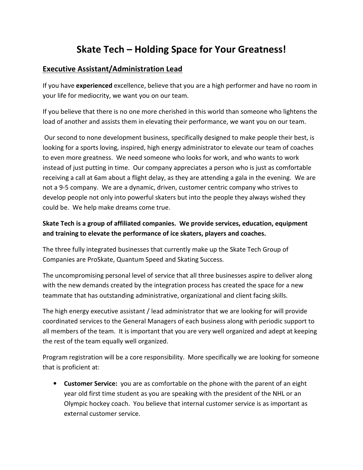## **Skate Tech – Holding Space for Your Greatness!**

## **Executive Assistant/Administration Lead**

If you have **experienced** excellence, believe that you are a high performer and have no room in your life for mediocrity, we want you on our team.

If you believe that there is no one more cherished in this world than someone who lightens the load of another and assists them in elevating their performance, we want you on our team.

 Our second to none development business, specifically designed to make people their best, is looking for a sports loving, inspired, high energy administrator to elevate our team of coaches to even more greatness. We need someone who looks for work, and who wants to work instead of just putting in time. Our company appreciates a person who is just as comfortable receiving a call at 6am about a flight delay, as they are attending a gala in the evening. We are not a 9-5 company. We are a dynamic, driven, customer centric company who strives to develop people not only into powerful skaters but into the people they always wished they could be. We help make dreams come true.

## **Skate Tech is a group of affiliated companies. We provide services, education, equipment and training to elevate the performance of ice skaters, players and coaches.**

The three fully integrated businesses that currently make up the Skate Tech Group of Companies are ProSkate, Quantum Speed and Skating Success.

The uncompromising personal level of service that all three businesses aspire to deliver along with the new demands created by the integration process has created the space for a new teammate that has outstanding administrative, organizational and client facing skills.

The high energy executive assistant / lead administrator that we are looking for will provide coordinated services to the General Managers of each business along with periodic support to all members of the team. It is important that you are very well organized and adept at keeping the rest of the team equally well organized.

Program registration will be a core responsibility. More specifically we are looking for someone that is proficient at:

• **Customer Service:** you are as comfortable on the phone with the parent of an eight year old first time student as you are speaking with the president of the NHL or an Olympic hockey coach. You believe that internal customer service is as important as external customer service.